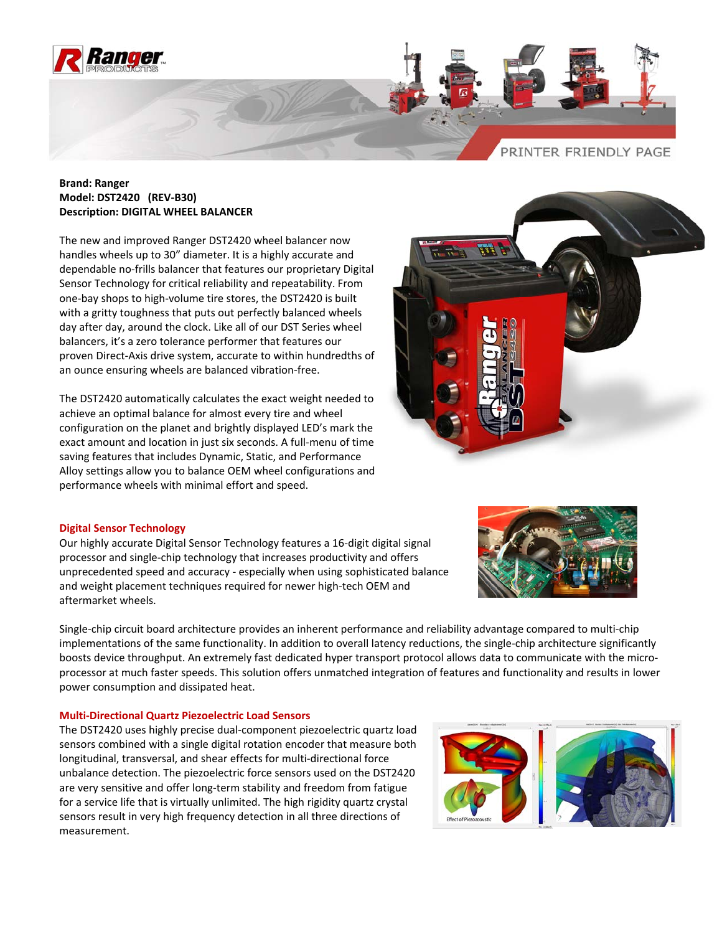

## **Brand: Ranger Model: DST2420 (REV‐B30) Description: DIGITAL WHEEL BALANCER**

The new and improved Ranger DST2420 wheel balancer now handles wheels up to 30" diameter. It is a highly accurate and dependable no‐frills balancer that features our proprietary Digital Sensor Technology for critical reliability and repeatability. From one‐bay shops to high‐volume tire stores, the DST2420 is built with a gritty toughness that puts out perfectly balanced wheels day after day, around the clock. Like all of our DST Series wheel balancers, it's a zero tolerance performer that features our proven Direct‐Axis drive system, accurate to within hundredths of an ounce ensuring wheels are balanced vibration‐free.

The DST2420 automatically calculates the exact weight needed to achieve an optimal balance for almost every tire and wheel configuration on the planet and brightly displayed LED's mark the exact amount and location in just six seconds. A full‐menu of time saving features that includes Dynamic, Static, and Performance Alloy settings allow you to balance OEM wheel configurations and performance wheels with minimal effort and speed.



# **Digital Sensor Technology**

Our highly accurate Digital Sensor Technology features a 16‐digit digital signal processor and single‐chip technology that increases productivity and offers unprecedented speed and accuracy ‐ especially when using sophisticated balance and weight placement techniques required for newer high‐tech OEM and aftermarket wheels.

Single‐chip circuit board architecture provides an inherent performance and reliability advantage compared to multi‐chip implementations of the same functionality. In addition to overall latency reductions, the single‐chip architecture significantly boosts device throughput. An extremely fast dedicated hyper transport protocol allows data to communicate with the microprocessor at much faster speeds. This solution offers unmatched integration of features and functionality and results in lower power consumption and dissipated heat.

### **Multi‐Directional Quartz Piezoelectric Load Sensors**

The DST2420 uses highly precise dual‐component piezoelectric quartz load sensors combined with a single digital rotation encoder that measure both longitudinal, transversal, and shear effects for multi‐directional force unbalance detection. The piezoelectric force sensors used on the DST2420 are very sensitive and offer long‐term stability and freedom from fatigue for a service life that is virtually unlimited. The high rigidity quartz crystal sensors result in very high frequency detection in all three directions of measurement.



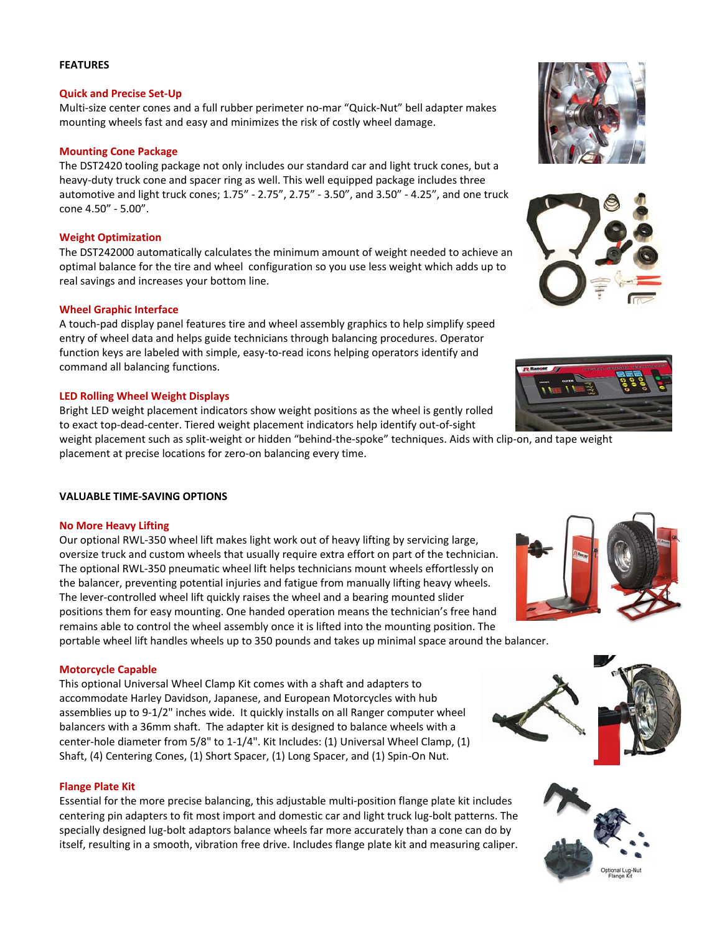### **FEATURES**

### **Quick and Precise Set‐Up**

Multi‐size center cones and a full rubber perimeter no‐mar "Quick‐Nut" bell adapter makes mounting wheels fast and easy and minimizes the risk of costly wheel damage.

## **Mounting Cone Package**

The DST2420 tooling package not only includes our standard car and light truck cones, but a heavy-duty truck cone and spacer ring as well. This well equipped package includes three automotive and light truck cones; 1.75" ‐ 2.75", 2.75" ‐ 3.50", and 3.50" ‐ 4.25", and one truck cone 4.50" ‐ 5.00".

# **Weight Optimization**

The DST242000 automatically calculates the minimum amount of weight needed to achieve an optimal balance for the tire and wheel configuration so you use less weight which adds up to real savings and increases your bottom line.

### **Wheel Graphic Interface**

A touch‐pad display panel features tire and wheel assembly graphics to help simplify speed entry of wheel data and helps guide technicians through balancing procedures. Operator function keys are labeled with simple, easy-to-read icons helping operators identify and command all balancing functions.

### **LED Rolling Wheel Weight Displays**

Bright LED weight placement indicators show weight positions as the wheel is gently rolled to exact top‐dead‐center. Tiered weight placement indicators help identify out‐of‐sight

weight placement such as split-weight or hidden "behind-the-spoke" techniques. Aids with clip-on, and tape weight placement at precise locations for zero‐on balancing every time.

# **VALUABLE TIME‐SAVING OPTIONS**

### **No More Heavy Lifting**

Our optional RWL‐350 wheel lift makes light work out of heavy lifting by servicing large, oversize truck and custom wheels that usually require extra effort on part of the technician. The optional RWL‐350 pneumatic wheel lift helps technicians mount wheels effortlessly on the balancer, preventing potential injuries and fatigue from manually lifting heavy wheels. The lever-controlled wheel lift quickly raises the wheel and a bearing mounted slider positions them for easy mounting. One handed operation means the technician's free hand remains able to control the wheel assembly once it is lifted into the mounting position. The

portable wheel lift handles wheels up to 350 pounds and takes up minimal space around the balancer.

### **Motorcycle Capable**

This optional Universal Wheel Clamp Kit comes with a shaft and adapters to accommodate Harley Davidson, Japanese, and European Motorcycles with hub assemblies up to 9‐1/2" inches wide. It quickly installs on all Ranger computer wheel balancers with a 36mm shaft. The adapter kit is designed to balance wheels with a center‐hole diameter from 5/8" to 1‐1/4". Kit Includes: (1) Universal Wheel Clamp, (1) Shaft, (4) Centering Cones, (1) Short Spacer, (1) Long Spacer, and (1) Spin‐On Nut.

### **Flange Plate Kit**

Essential for the more precise balancing, this adjustable multi‐position flange plate kit includes centering pin adapters to fit most import and domestic car and light truck lug‐bolt patterns. The specially designed lug‐bolt adaptors balance wheels far more accurately than a cone can do by itself, resulting in a smooth, vibration free drive. Includes flange plate kit and measuring caliper.